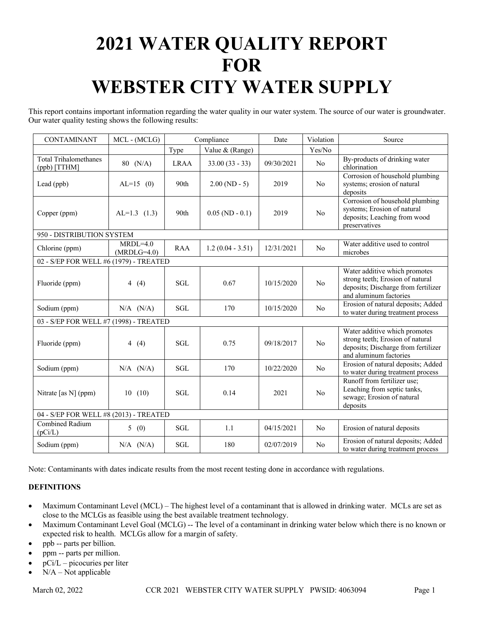# **2021 WATER QUALITY REPORT FOR WEBSTER CITY WATER SUPPLY**

This report contains important information regarding the water quality in our water system. The source of our water is groundwater. Our water quality testing shows the following results:

| <b>CONTAMINANT</b>                      | MCL - (MCLG)                | Compliance  |                    | Date       | Violation      | Source                                                                                                                             |
|-----------------------------------------|-----------------------------|-------------|--------------------|------------|----------------|------------------------------------------------------------------------------------------------------------------------------------|
|                                         |                             | Type        | Value & (Range)    |            | Yes/No         |                                                                                                                                    |
| Total Trihalomethanes<br>$(ppb)$ [TTHM] | 80 (N/A)                    | <b>LRAA</b> | $33.00(33 - 33)$   | 09/30/2021 | N <sub>o</sub> | By-products of drinking water<br>chlorination                                                                                      |
| Lead (ppb)                              | $AL=15$ (0)                 | 90th        | $2.00(ND - 5)$     | 2019       | No             | Corrosion of household plumbing<br>systems; erosion of natural<br>deposits                                                         |
| Copper (ppm)                            | $AL=1.3$ (1.3)              | 90th        | $0.05$ (ND - 0.1)  | 2019       | No             | Corrosion of household plumbing<br>systems; Erosion of natural<br>deposits; Leaching from wood<br>preservatives                    |
| 950 - DISTRIBUTION SYSTEM               |                             |             |                    |            |                |                                                                                                                                    |
| Chlorine (ppm)                          | $MRDL=4.0$<br>$(MRDLG=4.0)$ | <b>RAA</b>  | $1.2(0.04 - 3.51)$ | 12/31/2021 | N <sub>o</sub> | Water additive used to control<br>microbes                                                                                         |
| 02 - S/EP FOR WELL #6 (1979) - TREATED  |                             |             |                    |            |                |                                                                                                                                    |
| Fluoride (ppm)                          | 4 $(4)$                     | <b>SGL</b>  | 0.67               | 10/15/2020 | No             | Water additive which promotes<br>strong teeth; Erosion of natural<br>deposits; Discharge from fertilizer<br>and aluminum factories |
| Sodium (ppm)                            | $N/A$ $(N/A)$               | SGL         | 170                | 10/15/2020 | No             | Erosion of natural deposits; Added<br>to water during treatment process                                                            |
| 03 - S/EP FOR WELL #7 (1998) - TREATED  |                             |             |                    |            |                |                                                                                                                                    |
| Fluoride (ppm)                          | 4 $(4)$                     | <b>SGL</b>  | 0.75               | 09/18/2017 | No             | Water additive which promotes<br>strong teeth; Erosion of natural<br>deposits; Discharge from fertilizer<br>and aluminum factories |
| Sodium (ppm)                            | $N/A$ $(N/A)$               | <b>SGL</b>  | 170                | 10/22/2020 | N <sub>o</sub> | Erosion of natural deposits; Added<br>to water during treatment process                                                            |
| Nitrate [as N] (ppm)                    | 10(10)                      | <b>SGL</b>  | 0.14               | 2021       | No             | Runoff from fertilizer use;<br>Leaching from septic tanks,<br>sewage; Erosion of natural<br>deposits                               |
| 04 - S/EP FOR WELL #8 (2013) - TREATED  |                             |             |                    |            |                |                                                                                                                                    |
| Combined Radium<br>(pCi/L)              | 5(0)                        | <b>SGL</b>  | 1.1                | 04/15/2021 | N <sub>o</sub> | Erosion of natural deposits                                                                                                        |
| Sodium (ppm)                            | $N/A$ $(N/A)$               | <b>SGL</b>  | 180                | 02/07/2019 | No             | Erosion of natural deposits; Added<br>to water during treatment process                                                            |

Note: Contaminants with dates indicate results from the most recent testing done in accordance with regulations.

## **DEFINITIONS**

- Maximum Contaminant Level (MCL) The highest level of a contaminant that is allowed in drinking water. MCLs are set as close to the MCLGs as feasible using the best available treatment technology.
- Maximum Contaminant Level Goal (MCLG) -- The level of a contaminant in drinking water below which there is no known or expected risk to health. MCLGs allow for a margin of safety.
- ppb -- parts per billion.
- ppm -- parts per million.
- $pCi/L$  picocuries per liter
- $N/A Not$  applicable